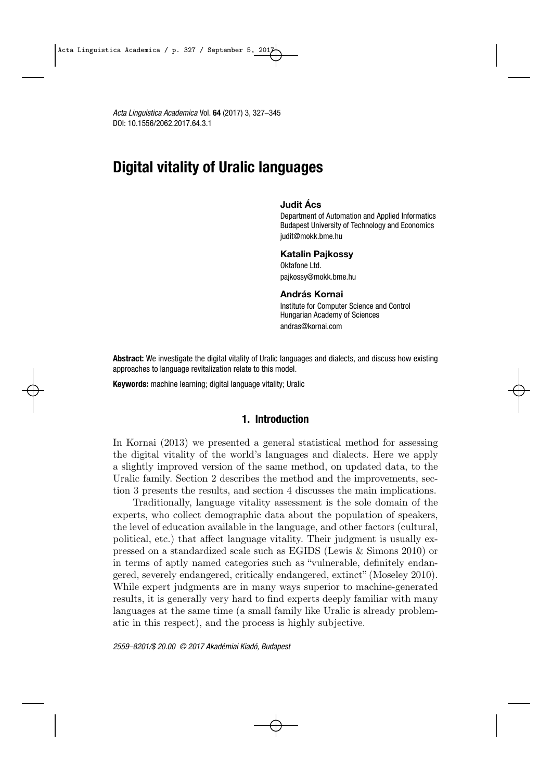# **Digital vitality of Uralic languages**

### **Judit Ács**

Department of Automation and Applied Informatics Budapest University of Technology and Economics iudit@mokk.bme.hu

#### **Katalin Pajkossy**

Oktafone Ltd. pajkossy@mokk.bme.hu

### **András Kornai**

Institute for Computer Science and Control Hungarian Academy of Sciences andras@kornai.com

**Abstract:** We investigate the digital vitality of Uralic languages and dialects, and discuss how existing approaches to language revitalization relate to this model.

**Keywords:** machine learning; digital language vitality; Uralic

### **1. Introduction**

In Kornai (2013) we presented a general statistical method for assessing the digital vitality of the world's languages and dialects. Here we apply a slightly improved version of the same method, on updated data, to the Uralic family. Section 2 describes the method and the improvements, section 3 presents the results, and section 4 discusses the main implications.

Traditionally, language vitality assessment is the sole domain of the experts, who collect demographic data about the population of speakers, the level of education available in the language, and other factors (cultural, political, etc.) that affect language vitality. Their judgment is usually expressed on a standardized scale such as EGIDS (Lewis & Simons 2010) or in terms of aptly named categories such as "vulnerable, definitely endangered, severely endangered, critically endangered, extinct" (Moseley 2010). While expert judgments are in many ways superior to machine-generated results, it is generally very hard to find experts deeply familiar with many languages at the same time (a small family like Uralic is already problematic in this respect), and the process is highly subjective.

*2559–8201/\$ 20.00 © 2017 Akadémiai Kiadó, Budapest*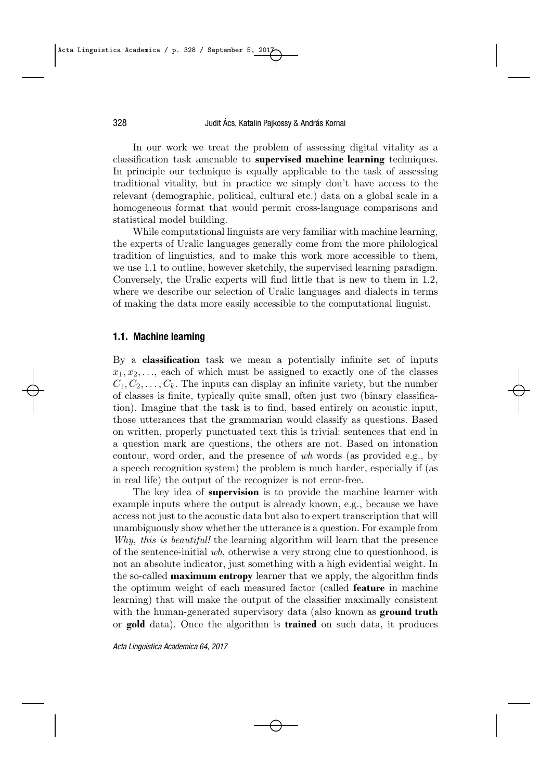In our work we treat the problem of assessing digital vitality as a classification task amenable to **supervised machine learning** techniques. In principle our technique is equally applicable to the task of assessing traditional vitality, but in practice we simply don't have access to the relevant (demographic, political, cultural etc.) data on a global scale in a homogeneous format that would permit cross-language comparisons and statistical model building.

While computational linguists are very familiar with machine learning, the experts of Uralic languages generally come from the more philological tradition of linguistics, and to make this work more accessible to them, we use 1.1 to outline, however sketchily, the supervised learning paradigm. Conversely, the Uralic experts will find little that is new to them in 1.2, where we describe our selection of Uralic languages and dialects in terms of making the data more easily accessible to the computational linguist.

### **1.1. Machine learning**

By a **classification** task we mean a potentially infinite set of inputs  $x_1, x_2, \ldots$ , each of which must be assigned to exactly one of the classes  $C_1, C_2, \ldots, C_k$ . The inputs can display an infinite variety, but the number of classes is finite, typically quite small, often just two (binary classification). Imagine that the task is to find, based entirely on acoustic input, those utterances that the grammarian would classify as questions. Based on written, properly punctuated text this is trivial: sentences that end in a question mark are questions, the others are not. Based on intonation contour, word order, and the presence of *wh* words (as provided e.g., by a speech recognition system) the problem is much harder, especially if (as in real life) the output of the recognizer is not error-free.

The key idea of **supervision** is to provide the machine learner with example inputs where the output is already known, e.g., because we have access not just to the acoustic data but also to expert transcription that will unambiguously show whether the utterance is a question. For example from *Why, this is beautiful!* the learning algorithm will learn that the presence of the sentence-initial *wh*, otherwise a very strong clue to questionhood, is not an absolute indicator, just something with a high evidential weight. In the so-called **maximum entropy** learner that we apply, the algorithm finds the optimum weight of each measured factor (called **feature** in machine learning) that will make the output of the classifier maximally consistent with the human-generated supervisory data (also known as **ground truth** or **gold** data). Once the algorithm is **trained** on such data, it produces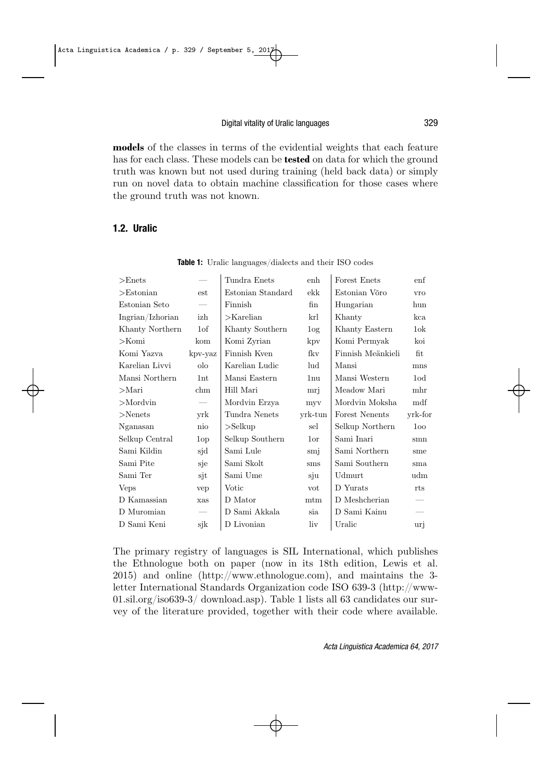Digital vitality of Uralic languages 329

**models** of the classes in terms of the evidential weights that each feature has for each class. These models can be **tested** on data for which the ground truth was known but not used during training (held back data) or simply run on novel data to obtain machine classification for those cases where the ground truth was not known.

# **1.2. Uralic**

| >Enets                |                          | Tundra Enets<br>enh        |                 | Forest Enets      | $_{\rm{enf}}$            |
|-----------------------|--------------------------|----------------------------|-----------------|-------------------|--------------------------|
| >E <sub>stonian</sub> | est.                     | Estonian Standard<br>ekk   |                 | Estonian Võro     | <b>vro</b>               |
| Estonian Seto         | $\equiv$                 | fin<br>Finnish             |                 | Hungarian         | hun                      |
| Ingrian/Izhorian      | izh                      | $\geq$ Karelian            | krl             | Khanty            | kca                      |
| Khanty Northern       | 1 of                     | Khanty Southern            | log             | Khanty Eastern    | $1$ ok                   |
| $>$ Komi              | kom                      | Komi Zyrian                | kpy             | Komi Permyak      | koi                      |
| Komi Yazva            | kpv-yaz                  | Finnish Kven               | fkv             | Finnish Meänkieli | fit                      |
| Karelian Livvi        | olo                      | Karelian Ludic             | lud             | Mansi             | mns                      |
| Mansi Northern        | 1nt                      | Mansi Eastern              | 1 <sub>nu</sub> | Mansi Western     | 1 <sub>od</sub>          |
| $>$ Mari              | chm                      | Hill Mari<br>mri           |                 | Meadow Mari       | mhr                      |
| $>$ Mordvin           | $\overline{\phantom{m}}$ | Mordvin Erzya<br>myv       |                 | Mordvin Moksha    | mdf                      |
| $>$ Nenets            | yrk                      | Tundra Nenets<br>yrk-tun   |                 | Forest Nenents    | yrk-for                  |
| Nganasan              | nio                      | $>\!$ Selkup<br>sel        |                 | Selkup Northern   | 100 <sub>o</sub>         |
| Selkup Central        | 1 <sub>op</sub>          | Selkup Southern            | 1 <sub>or</sub> | Sami Inari        | smn                      |
| Sami Kildin           | sjd                      | Sami Lule                  | smi             | Sami Northern     | sme                      |
| Sami Pite             | sje                      | Sami Skolt<br>sms          |                 | Sami Southern     | sma                      |
| Sami Ter              | sjt                      | Sami Ume<br>sju            |                 | Udmurt            | udm                      |
| <b>Veps</b>           | vep                      | Votic<br>vot               |                 | D Yurats          | rts                      |
| D Kamassian           | xas                      | D Mator<br>m <sub>tm</sub> |                 | D Meshcherian     | $\qquad \qquad =$        |
| D Muromian            | $\overline{\phantom{a}}$ | D Sami Akkala<br>sia       |                 | D Sami Kainu      | $\overline{\phantom{0}}$ |
| D Sami Keni           | sjk                      | D Livonian                 | liv             | Uralic            | urj                      |
|                       |                          |                            |                 |                   |                          |

**Table 1:** Uralic languages/dialects and their ISO codes

The primary registry of languages is SIL International, which publishes the Ethnologue both on paper (now in its 18th edition, Lewis et al. 2015) and online (http://www.ethnologue.com), and maintains the 3 letter International Standards Organization code ISO 639-3 (http://www-01.sil.org/iso639-3/ download.asp). Table 1 lists all 63 candidates our survey of the literature provided, together with their code where available.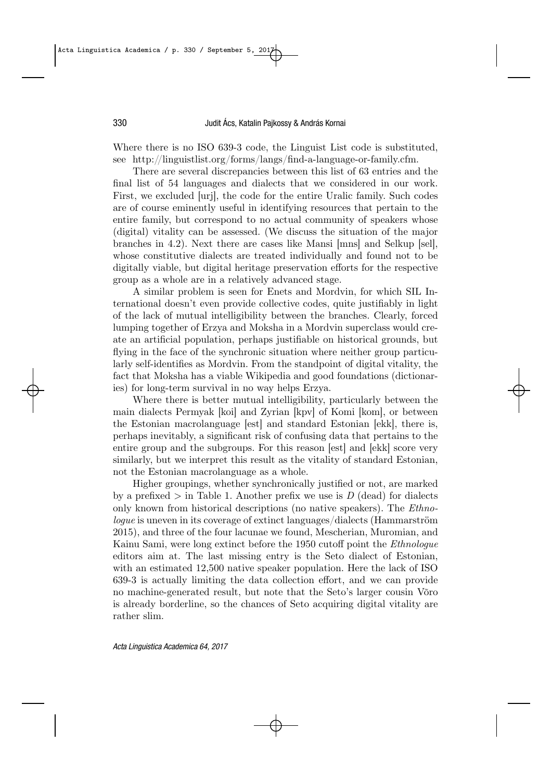Where there is no ISO 639-3 code, the Linguist List code is substituted, see http://linguistlist.org/forms/langs/find-a-language-or-family.cfm.

There are several discrepancies between this list of 63 entries and the final list of 54 languages and dialects that we considered in our work. First, we excluded [urj], the code for the entire Uralic family. Such codes are of course eminently useful in identifying resources that pertain to the entire family, but correspond to no actual community of speakers whose (digital) vitality can be assessed. (We discuss the situation of the major branches in 4.2). Next there are cases like Mansi [mns] and Selkup [sel], whose constitutive dialects are treated individually and found not to be digitally viable, but digital heritage preservation efforts for the respective group as a whole are in a relatively advanced stage.

A similar problem is seen for Enets and Mordvin, for which SIL International doesn't even provide collective codes, quite justifiably in light of the lack of mutual intelligibility between the branches. Clearly, forced lumping together of Erzya and Moksha in a Mordvin superclass would create an artificial population, perhaps justifiable on historical grounds, but flying in the face of the synchronic situation where neither group particularly self-identifies as Mordvin. From the standpoint of digital vitality, the fact that Moksha has a viable Wikipedia and good foundations (dictionaries) for long-term survival in no way helps Erzya.

Where there is better mutual intelligibility, particularly between the main dialects Permyak [koi] and Zyrian [kpv] of Komi [kom], or between the Estonian macrolanguage [est] and standard Estonian [ekk], there is, perhaps inevitably, a significant risk of confusing data that pertains to the entire group and the subgroups. For this reason [est] and [ekk] score very similarly, but we interpret this result as the vitality of standard Estonian, not the Estonian macrolanguage as a whole.

Higher groupings, whether synchronically justified or not, are marked by a prefixed *>* in Table 1. Another prefix we use is *D* (dead) for dialects only known from historical descriptions (no native speakers). The *Ethnologue* is uneven in its coverage of extinct languages/dialects (Hammarström 2015), and three of the four lacunae we found, Mescherian, Muromian, and Kainu Sami, were long extinct before the 1950 cutoff point the *Ethnologue* editors aim at. The last missing entry is the Seto dialect of Estonian, with an estimated 12,500 native speaker population. Here the lack of ISO 639-3 is actually limiting the data collection effort, and we can provide no machine-generated result, but note that the Seto's larger cousin Võro is already borderline, so the chances of Seto acquiring digital vitality are rather slim.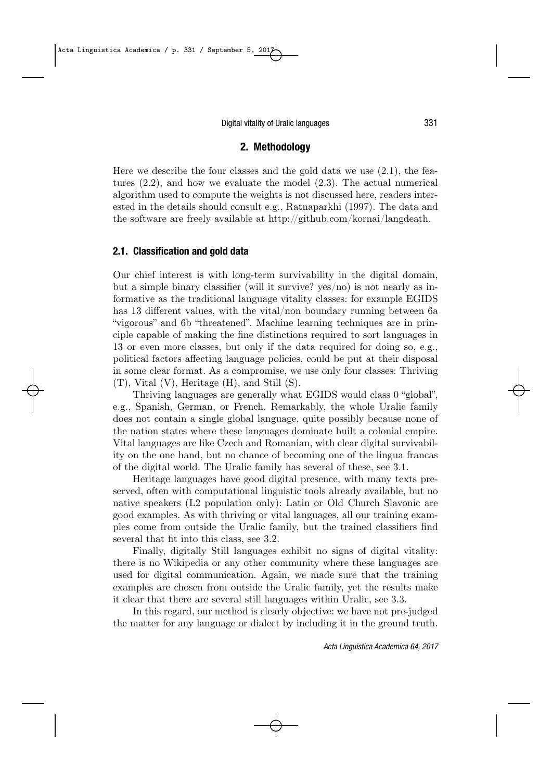# **2. Methodology**

Here we describe the four classes and the gold data we use  $(2.1)$ , the features (2.2), and how we evaluate the model (2.3). The actual numerical algorithm used to compute the weights is not discussed here, readers interested in the details should consult e.g., Ratnaparkhi (1997). The data and the software are freely available at http://github.com/kornai/langdeath.

## **2.1. Classification and gold data**

Our chief interest is with long-term survivability in the digital domain, but a simple binary classifier (will it survive? yes/no) is not nearly as informative as the traditional language vitality classes: for example EGIDS has 13 different values, with the vital/non boundary running between 6a "vigorous" and 6b "threatened". Machine learning techniques are in principle capable of making the fine distinctions required to sort languages in 13 or even more classes, but only if the data required for doing so, e.g., political factors affecting language policies, could be put at their disposal in some clear format. As a compromise, we use only four classes: Thriving (T), Vital (V), Heritage (H), and Still (S).

Thriving languages are generally what EGIDS would class 0 "global", e.g., Spanish, German, or French. Remarkably, the whole Uralic family does not contain a single global language, quite possibly because none of the nation states where these languages dominate built a colonial empire. Vital languages are like Czech and Romanian, with clear digital survivability on the one hand, but no chance of becoming one of the lingua francas of the digital world. The Uralic family has several of these, see 3.1.

Heritage languages have good digital presence, with many texts preserved, often with computational linguistic tools already available, but no native speakers (L2 population only): Latin or Old Church Slavonic are good examples. As with thriving or vital languages, all our training examples come from outside the Uralic family, but the trained classifiers find several that fit into this class, see 3.2.

Finally, digitally Still languages exhibit no signs of digital vitality: there is no Wikipedia or any other community where these languages are used for digital communication. Again, we made sure that the training examples are chosen from outside the Uralic family, yet the results make it clear that there are several still languages within Uralic, see 3.3.

In this regard, our method is clearly objective: we have not pre-judged the matter for any language or dialect by including it in the ground truth.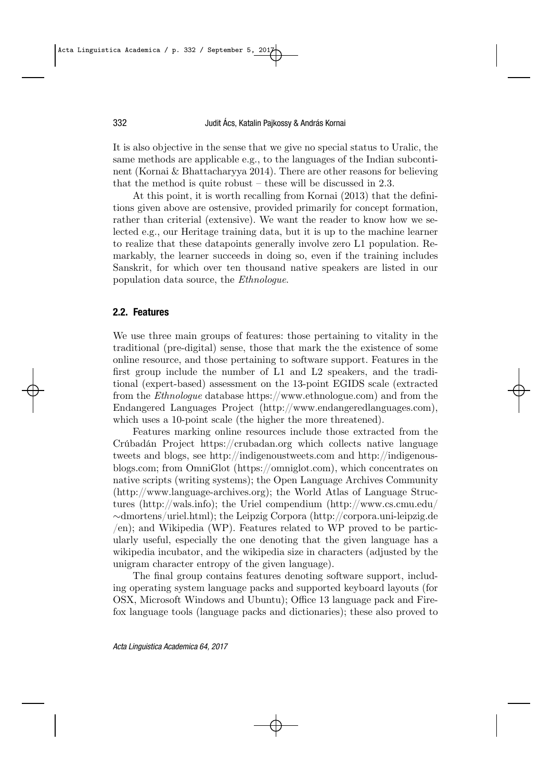It is also objective in the sense that we give no special status to Uralic, the same methods are applicable e.g., to the languages of the Indian subcontinent (Kornai & Bhattacharyya 2014). There are other reasons for believing that the method is quite robust – these will be discussed in 2.3.

At this point, it is worth recalling from Kornai (2013) that the definitions given above are ostensive, provided primarily for concept formation, rather than criterial (extensive). We want the reader to know how we selected e.g., our Heritage training data, but it is up to the machine learner to realize that these datapoints generally involve zero L1 population. Remarkably, the learner succeeds in doing so, even if the training includes Sanskrit, for which over ten thousand native speakers are listed in our population data source, the *Ethnologue*.

### **2.2. Features**

We use three main groups of features: those pertaining to vitality in the traditional (pre-digital) sense, those that mark the the existence of some online resource, and those pertaining to software support. Features in the first group include the number of L1 and L2 speakers, and the traditional (expert-based) assessment on the 13-point EGIDS scale (extracted from the *Ethnologue* database https://www.ethnologue.com) and from the Endangered Languages Project (http://www.endangeredlanguages.com), which uses a 10-point scale (the higher the more threatened).

Features marking online resources include those extracted from the Crúbadán Project https://crubadan.org which collects native language tweets and blogs, see http://indigenoustweets.com and http://indigenousblogs.com; from OmniGlot (https://omniglot.com), which concentrates on native scripts (writing systems); the Open Language Archives Community (http://www.language-archives.org); the World Atlas of Language Structures (http://wals.info); the Uriel compendium (http://www.cs.cmu.edu/ *∼*dmortens/uriel.html); the Leipzig Corpora (http://corpora.uni-leipzig.de /en); and Wikipedia (WP). Features related to WP proved to be particularly useful, especially the one denoting that the given language has a wikipedia incubator, and the wikipedia size in characters (adjusted by the unigram character entropy of the given language).

The final group contains features denoting software support, including operating system language packs and supported keyboard layouts (for OSX, Microsoft Windows and Ubuntu); Office 13 language pack and Firefox language tools (language packs and dictionaries); these also proved to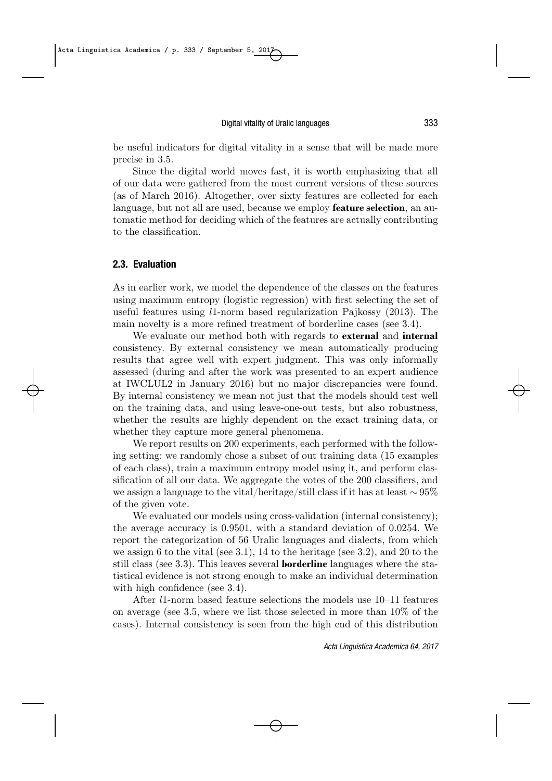be useful indicators for digital vitality in a sense that will be made more precise in 3.5.

Since the digital world moves fast, it is worth emphasizing that all of our data were gathered from the most current versions of these sources (as of March 2016). Altogether, over sixty features are collected for each language, but not all are used, because we employ **feature selection**, an automatic method for deciding which of the features are actually contributing to the classification.

### **2.3. Evaluation**

As in earlier work, we model the dependence of the classes on the features using maximum entropy (logistic regression) with first selecting the set of useful features using *l*1-norm based regularization Pajkossy (2013). The main novelty is a more refined treatment of borderline cases (see 3.4).

We evaluate our method both with regards to **external** and **internal** consistency. By external consistency we mean automatically producing results that agree well with expert judgment. This was only informally assessed (during and after the work was presented to an expert audience at IWCLUL2 in January 2016) but no major discrepancies were found. By internal consistency we mean not just that the models should test well on the training data, and using leave-one-out tests, but also robustness, whether the results are highly dependent on the exact training data, or whether they capture more general phenomena.

We report results on 200 experiments, each performed with the following setting: we randomly chose a subset of out training data (15 examples of each class), train a maximum entropy model using it, and perform classification of all our data. We aggregate the votes of the 200 classifiers, and we assign a language to the vital/heritage/still class if it has at least *∼* 95% of the given vote.

We evaluated our models using cross-validation (internal consistency); the average accuracy is 0.9501, with a standard deviation of 0.0254. We report the categorization of 56 Uralic languages and dialects, from which we assign 6 to the vital (see  $3.1$ ), 14 to the heritage (see  $3.2$ ), and 20 to the still class (see 3.3). This leaves several **borderline** languages where the statistical evidence is not strong enough to make an individual determination with high confidence (see 3.4).

After *l*1-norm based feature selections the models use 10–11 features on average (see 3.5, where we list those selected in more than 10% of the cases). Internal consistency is seen from the high end of this distribution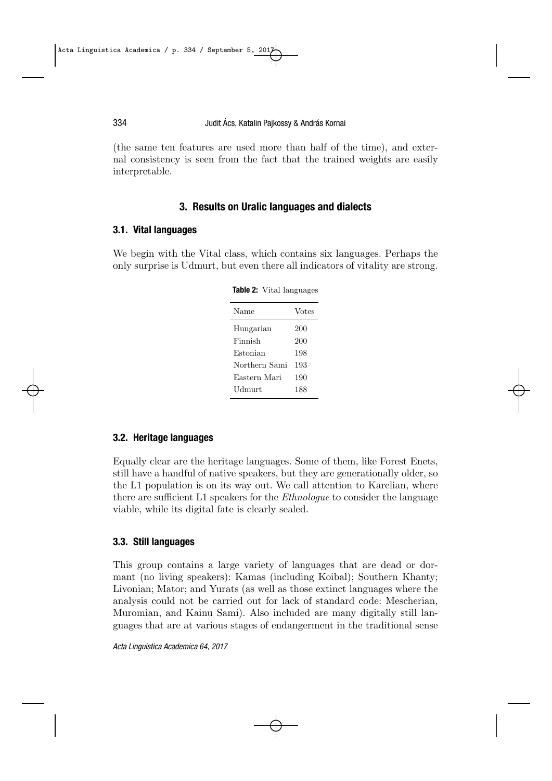(the same ten features are used more than half of the time), and external consistency is seen from the fact that the trained weights are easily interpretable.

# **3. Results on Uralic languages and dialects**

### **3.1. Vital languages**

We begin with the Vital class, which contains six languages. Perhaps the only surprise is Udmurt, but even there all indicators of vitality are strong.

| Name          | Votes |
|---------------|-------|
| Hungarian     | 200   |
| Finnish       | 200   |
| Estonian      | 198   |
| Northern Sami | 193   |
| Eastern Mari  | 190   |
| Udmurt        | 188   |

**Table 2:** Vital languages

# **3.2. Heritage languages**

Equally clear are the heritage languages. Some of them, like Forest Enets, still have a handful of native speakers, but they are generationally older, so the L1 population is on its way out. We call attention to Karelian, where there are sufficient L1 speakers for the *Ethnologue* to consider the language viable, while its digital fate is clearly sealed.

# **3.3. Still languages**

This group contains a large variety of languages that are dead or dormant (no living speakers): Kamas (including Koibal); Southern Khanty; Livonian; Mator; and Yurats (as well as those extinct languages where the analysis could not be carried out for lack of standard code: Mescherian, Muromian, and Kainu Sami). Also included are many digitally still languages that are at various stages of endangerment in the traditional sense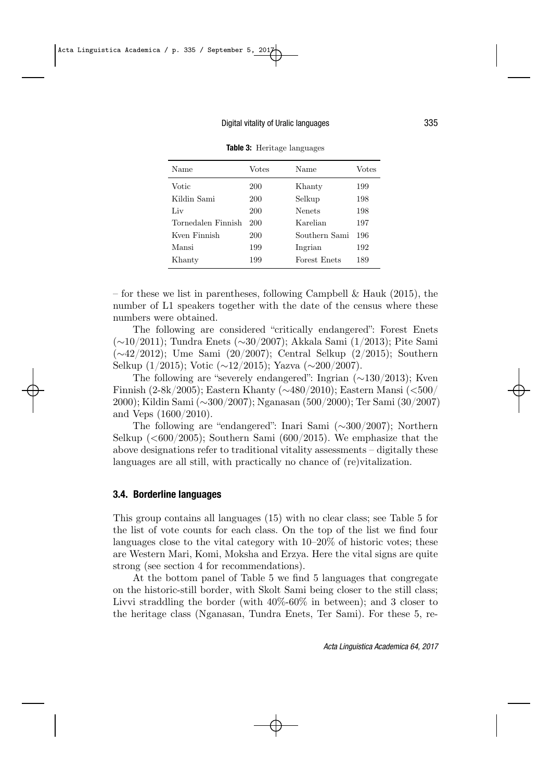| Name               | Votes | Name          | Votes |
|--------------------|-------|---------------|-------|
| Votic              | 200   | Khanty        | 199   |
| Kildin Sami        | 200   | Selkup        | 198   |
| Liv                | 200   | Nenets        | 198   |
| Tornedalen Finnish | 200   | Karelian      | 197   |
| Kven Finnish       | 200   | Southern Sami | 196   |
| Mansi              | 199   | Ingrian       | 192   |
| Khanty             | 199   | Forest Enets  | 189   |
|                    |       |               |       |

**Table 3:** Heritage languages

– for these we list in parentheses, following Campbell & Hauk (2015), the number of L1 speakers together with the date of the census where these numbers were obtained.

The following are considered "critically endangered": Forest Enets (*∼*10/2011); Tundra Enets (*∼*30/2007); Akkala Sami (1/2013); Pite Sami (*∼*42/2012); Ume Sami (20/2007); Central Selkup (2/2015); Southern Selkup (1/2015); Votic (*∼*12/2015); Yazva (*∼*200/2007).

The following are "severely endangered": Ingrian (*∼*130/2013); Kven Finnish (2-8k/2005); Eastern Khanty (*∼*480/2010); Eastern Mansi (*<*500/ 2000); Kildin Sami (*∼*300/2007); Nganasan (500/2000); Ter Sami (30/2007) and Veps (1600/2010).

The following are "endangered": Inari Sami (*∼*300/2007); Northern Selkup (*<*600/2005); Southern Sami (600/2015). We emphasize that the above designations refer to traditional vitality assessments – digitally these languages are all still, with practically no chance of (re)vitalization.

### **3.4. Borderline languages**

This group contains all languages (15) with no clear class; see Table 5 for the list of vote counts for each class. On the top of the list we find four languages close to the vital category with 10–20% of historic votes; these are Western Mari, Komi, Moksha and Erzya. Here the vital signs are quite strong (see section 4 for recommendations).

At the bottom panel of Table 5 we find 5 languages that congregate on the historic-still border, with Skolt Sami being closer to the still class; Livvi straddling the border (with  $40\%$ -60% in between); and 3 closer to the heritage class (Nganasan, Tundra Enets, Ter Sami). For these 5, re-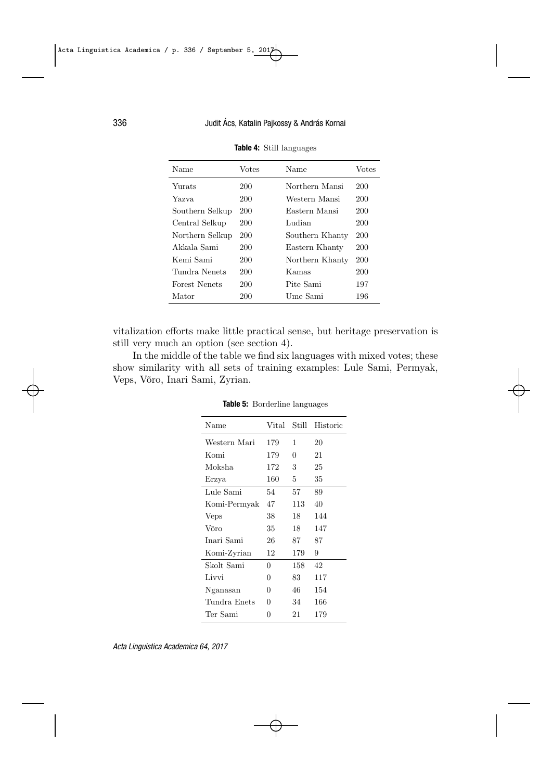| Name            | Votes | Name            | Votes |
|-----------------|-------|-----------------|-------|
| Yurats          | 200   | Northern Mansi  | 200   |
| Yazva           | 200   | Western Mansi   | 200   |
| Southern Selkup | 200   | Eastern Mansi   | 200   |
| Central Selkup  | 200   | Ludian          | 200   |
| Northern Selkup | 200   | Southern Khanty | 200   |
| Akkala Sami     | 200   | Eastern Khanty  | 200   |
| Kemi Sami       | 200   | Northern Khanty | 200   |
| Tundra Nenets   | 200   | Kamas           | 200   |
| Forest Nenets   | 200   | Pite Sami       | 197   |
| Mator           | 200   | Ume Sami        | 196   |

**Table 4:** Still languages

vitalization efforts make little practical sense, but heritage preservation is still very much an option (see section 4).

In the middle of the table we find six languages with mixed votes; these show similarity with all sets of training examples: Lule Sami, Permyak, Veps, Võro, Inari Sami, Zyrian.

| Vital | Still | Historic |
|-------|-------|----------|
| 179   | 1     | 20       |
| 179   | 0     | 21       |
| 172   | 3     | 25       |
| 160   | 5     | 35       |
| 54    | 57    | 89       |
| 47    | 113   | 40       |
| 38    | 18    | 144      |
| 35    | 18    | 147      |
| 26    | 87    | 87       |
| 12    | 179   | 9        |
| 0     | 158   | 42       |
| 0     | 83    | 117      |
| 0     | 46    | 154      |
| 0     | 34    | 166      |
| 0     | 21    | 179      |
|       |       |          |

**Table 5:** Borderline languages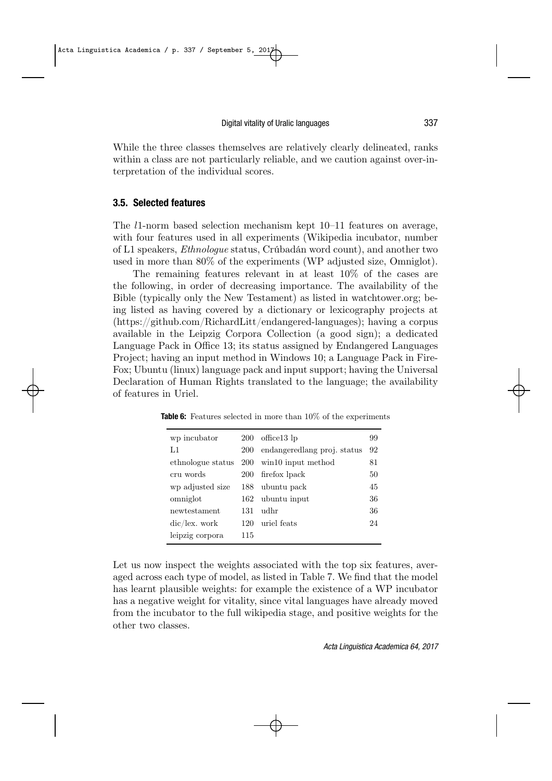While the three classes themselves are relatively clearly delineated, ranks within a class are not particularly reliable, and we caution against over-interpretation of the individual scores.

### **3.5. Selected features**

The *l*1-norm based selection mechanism kept 10–11 features on average, with four features used in all experiments (Wikipedia incubator, number of L1 speakers, *Ethnologue* status, Crúbadán word count), and another two used in more than 80% of the experiments (WP adjusted size, Omniglot).

The remaining features relevant in at least 10% of the cases are the following, in order of decreasing importance. The availability of the Bible (typically only the New Testament) as listed in watchtower.org; being listed as having covered by a dictionary or lexicography projects at (https://github.com/RichardLitt/endangered-languages); having a corpus available in the Leipzig Corpora Collection (a good sign); a dedicated Language Pack in Office 13; its status assigned by Endangered Languages Project; having an input method in Windows 10; a Language Pack in Fire-Fox; Ubuntu (linux) language pack and input support; having the Universal Declaration of Human Rights translated to the language; the availability of features in Uriel.

| wp incubator      | 200        | $office13$ lp               | 99 |
|-------------------|------------|-----------------------------|----|
| L1                | 200        | endangeredlang proj. status | 92 |
| ethnologue status |            | 200 win10 input method      | 81 |
| cru words         | <b>200</b> | firefox lpack               | 50 |
| wp adjusted size  | 188        | ubuntu pack                 | 45 |
| omniglot          | 162        | ubuntu input                | 36 |
| newtestament      | 131        | udhr                        | 36 |
| dic/lex. work     | 120        | uriel feats                 | 24 |
| leipzig corpora   | 115        |                             |    |

**Table 6:** Features selected in more than 10% of the experiments

Let us now inspect the weights associated with the top six features, averaged across each type of model, as listed in Table 7. We find that the model has learnt plausible weights: for example the existence of a WP incubator has a negative weight for vitality, since vital languages have already moved from the incubator to the full wikipedia stage, and positive weights for the other two classes.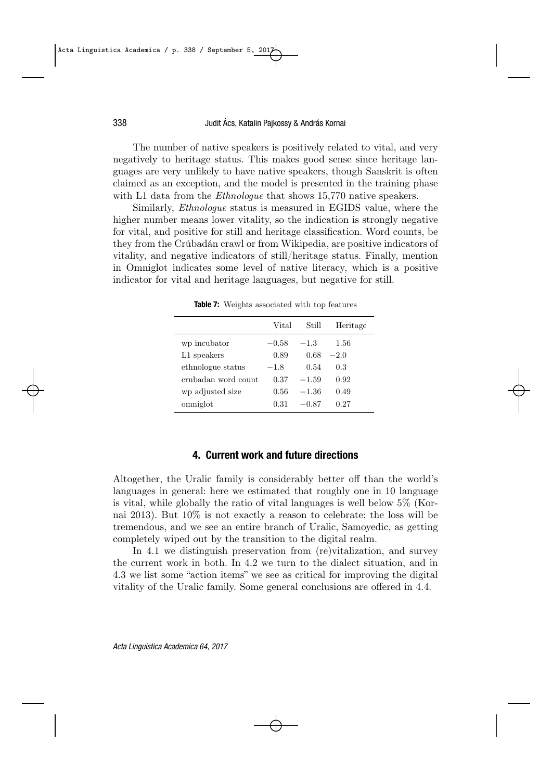The number of native speakers is positively related to vital, and very negatively to heritage status. This makes good sense since heritage languages are very unlikely to have native speakers, though Sanskrit is often claimed as an exception, and the model is presented in the training phase with L1 data from the *Ethnologue* that shows 15,770 native speakers.

Similarly, *Ethnologue* status is measured in EGIDS value, where the higher number means lower vitality, so the indication is strongly negative for vital, and positive for still and heritage classification. Word counts, be they from the Crúbadán crawl or from Wikipedia, are positive indicators of vitality, and negative indicators of still/heritage status. Finally, mention in Omniglot indicates some level of native literacy, which is a positive indicator for vital and heritage languages, but negative for still.

|                     | Vital   | Still   | Heritage |
|---------------------|---------|---------|----------|
| wp incubator        | $-0.58$ | $-1.3$  | 1.56     |
| L1 speakers         | 0.89    | 0.68    | $-2.0$   |
| ethnologue status   | $-1.8$  | 0.54    | 0.3      |
| crubadan word count | 0.37    | $-1.59$ | 0.92     |
| wp adjusted size    | 0.56    | $-1.36$ | 0.49     |
| omniglot            | 0.31    | $-0.87$ | 0.27     |
|                     |         |         |          |

**Table 7:** Weights associated with top features

## **4. Current work and future directions**

Altogether, the Uralic family is considerably better off than the world's languages in general: here we estimated that roughly one in 10 language is vital, while globally the ratio of vital languages is well below 5% (Kornai 2013). But 10% is not exactly a reason to celebrate: the loss will be tremendous, and we see an entire branch of Uralic, Samoyedic, as getting completely wiped out by the transition to the digital realm.

In 4.1 we distinguish preservation from (re)vitalization, and survey the current work in both. In 4.2 we turn to the dialect situation, and in 4.3 we list some "action items" we see as critical for improving the digital vitality of the Uralic family. Some general conclusions are offered in 4.4.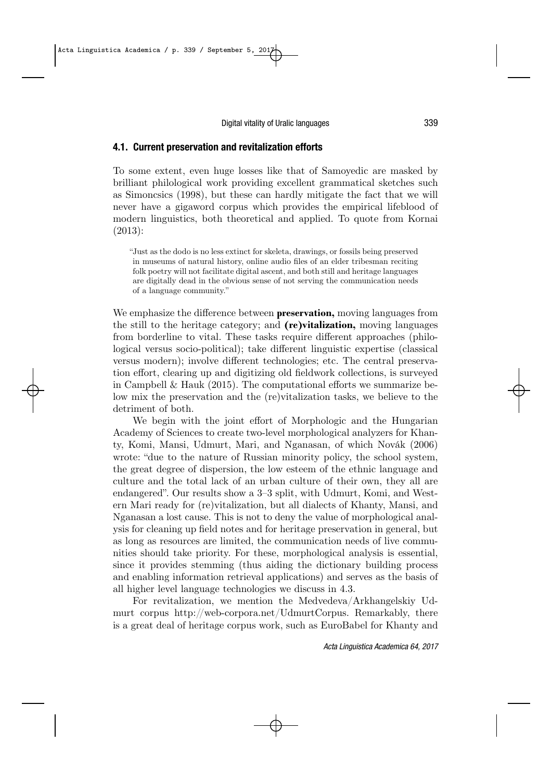# **4.1. Current preservation and revitalization efforts**

To some extent, even huge losses like that of Samoyedic are masked by brilliant philological work providing excellent grammatical sketches such as Simoncsics (1998), but these can hardly mitigate the fact that we will never have a gigaword corpus which provides the empirical lifeblood of modern linguistics, both theoretical and applied. To quote from Kornai (2013):

"Just as the dodo is no less extinct for skeleta, drawings, or fossils being preserved in museums of natural history, online audio files of an elder tribesman reciting folk poetry will not facilitate digital ascent, and both still and heritage languages are digitally dead in the obvious sense of not serving the communication needs of a language community."

We emphasize the difference between **preservation,** moving languages from the still to the heritage category; and **(re)vitalization,** moving languages from borderline to vital. These tasks require different approaches (philological versus socio-political); take different linguistic expertise (classical versus modern); involve different technologies; etc. The central preservation effort, clearing up and digitizing old fieldwork collections, is surveyed in Campbell  $\&$  Hauk (2015). The computational efforts we summarize below mix the preservation and the (re)vitalization tasks, we believe to the detriment of both.

We begin with the joint effort of Morphologic and the Hungarian Academy of Sciences to create two-level morphological analyzers for Khanty, Komi, Mansi, Udmurt, Mari, and Nganasan, of which Novák (2006) wrote: "due to the nature of Russian minority policy, the school system, the great degree of dispersion, the low esteem of the ethnic language and culture and the total lack of an urban culture of their own, they all are endangered". Our results show a 3–3 split, with Udmurt, Komi, and Western Mari ready for (re)vitalization, but all dialects of Khanty, Mansi, and Nganasan a lost cause. This is not to deny the value of morphological analysis for cleaning up field notes and for heritage preservation in general, but as long as resources are limited, the communication needs of live communities should take priority. For these, morphological analysis is essential, since it provides stemming (thus aiding the dictionary building process and enabling information retrieval applications) and serves as the basis of all higher level language technologies we discuss in 4.3.

For revitalization, we mention the Medvedeva/Arkhangelskiy Udmurt corpus http://web-corpora.net/UdmurtCorpus. Remarkably, there is a great deal of heritage corpus work, such as EuroBabel for Khanty and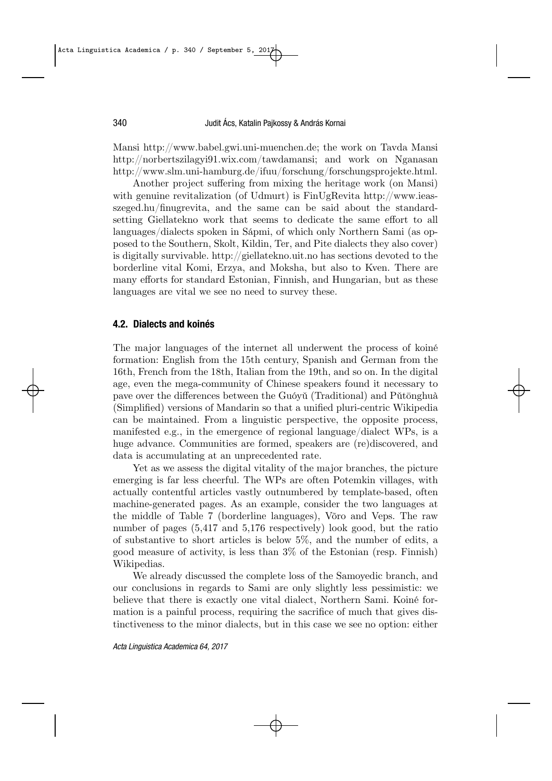Mansi http://www.babel.gwi.uni-muenchen.de; the work on Tavda Mansi http://norbertszilagyi91.wix.com/tawdamansi; and work on Nganasan http://www.slm.uni-hamburg.de/ifuu/forschung/forschungsprojekte.html.

Another project suffering from mixing the heritage work (on Mansi) with genuine revitalization (of Udmurt) is FinUgRevita http://www.ieasszeged.hu/finugrevita, and the same can be said about the standardsetting Giellatekno work that seems to dedicate the same effort to all languages/dialects spoken in Sápmi, of which only Northern Sami (as opposed to the Southern, Skolt, Kildin, Ter, and Pite dialects they also cover) is digitally survivable. http://giellatekno.uit.no has sections devoted to the borderline vital Komi, Erzya, and Moksha, but also to Kven. There are many efforts for standard Estonian, Finnish, and Hungarian, but as these languages are vital we see no need to survey these.

### **4.2. Dialects and koinés**

The major languages of the internet all underwent the process of koiné formation: English from the 15th century, Spanish and German from the 16th, French from the 18th, Italian from the 19th, and so on. In the digital age, even the mega-community of Chinese speakers found it necessary to pave over the differences between the Guóyǔ (Traditional) and Pǔtōnghuà (Simplified) versions of Mandarin so that a unified pluri-centric Wikipedia can be maintained. From a linguistic perspective, the opposite process, manifested e.g., in the emergence of regional language/dialect WPs, is a huge advance. Communities are formed, speakers are (re)discovered, and data is accumulating at an unprecedented rate.

Yet as we assess the digital vitality of the major branches, the picture emerging is far less cheerful. The WPs are often Potemkin villages, with actually contentful articles vastly outnumbered by template-based, often machine-generated pages. As an example, consider the two languages at the middle of Table 7 (borderline languages), Võro and Veps. The raw number of pages (5,417 and 5,176 respectively) look good, but the ratio of substantive to short articles is below 5%, and the number of edits, a good measure of activity, is less than 3% of the Estonian (resp. Finnish) Wikipedias.

We already discussed the complete loss of the Samoyedic branch, and our conclusions in regards to Sami are only slightly less pessimistic: we believe that there is exactly one vital dialect, Northern Sami. Koiné formation is a painful process, requiring the sacrifice of much that gives distinctiveness to the minor dialects, but in this case we see no option: either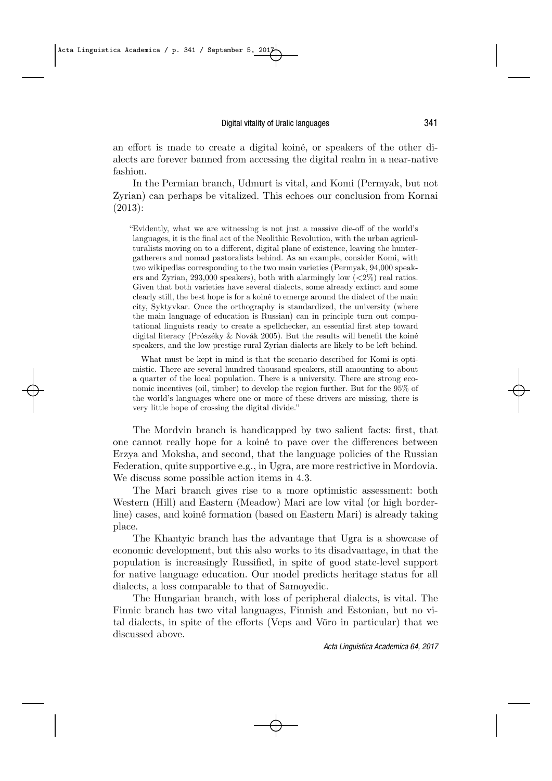an effort is made to create a digital koiné, or speakers of the other dialects are forever banned from accessing the digital realm in a near-native fashion.

In the Permian branch, Udmurt is vital, and Komi (Permyak, but not Zyrian) can perhaps be vitalized. This echoes our conclusion from Kornai (2013):

"Evidently, what we are witnessing is not just a massive die-off of the world's languages, it is the final act of the Neolithic Revolution, with the urban agriculturalists moving on to a different, digital plane of existence, leaving the huntergatherers and nomad pastoralists behind. As an example, consider Komi, with two wikipedias corresponding to the two main varieties (Permyak, 94,000 speakers and Zyrian, 293,000 speakers), both with alarmingly low (*<*2%) real ratios. Given that both varieties have several dialects, some already extinct and some clearly still, the best hope is for a koiné to emerge around the dialect of the main city, Syktyvkar. Once the orthography is standardized, the university (where the main language of education is Russian) can in principle turn out computational linguists ready to create a spellchecker, an essential first step toward digital literacy (Prószéky & Novák 2005). But the results will benefit the koiné speakers, and the low prestige rural Zyrian dialects are likely to be left behind.

What must be kept in mind is that the scenario described for Komi is optimistic. There are several hundred thousand speakers, still amounting to about a quarter of the local population. There is a university. There are strong economic incentives (oil, timber) to develop the region further. But for the 95% of the world's languages where one or more of these drivers are missing, there is very little hope of crossing the digital divide."

The Mordvin branch is handicapped by two salient facts: first, that one cannot really hope for a koiné to pave over the differences between Erzya and Moksha, and second, that the language policies of the Russian Federation, quite supportive e.g., in Ugra, are more restrictive in Mordovia. We discuss some possible action items in 4.3.

The Mari branch gives rise to a more optimistic assessment: both Western (Hill) and Eastern (Meadow) Mari are low vital (or high borderline) cases, and koiné formation (based on Eastern Mari) is already taking place.

The Khantyic branch has the advantage that Ugra is a showcase of economic development, but this also works to its disadvantage, in that the population is increasingly Russified, in spite of good state-level support for native language education. Our model predicts heritage status for all dialects, a loss comparable to that of Samoyedic.

The Hungarian branch, with loss of peripheral dialects, is vital. The Finnic branch has two vital languages, Finnish and Estonian, but no vital dialects, in spite of the efforts (Veps and Võro in particular) that we discussed above.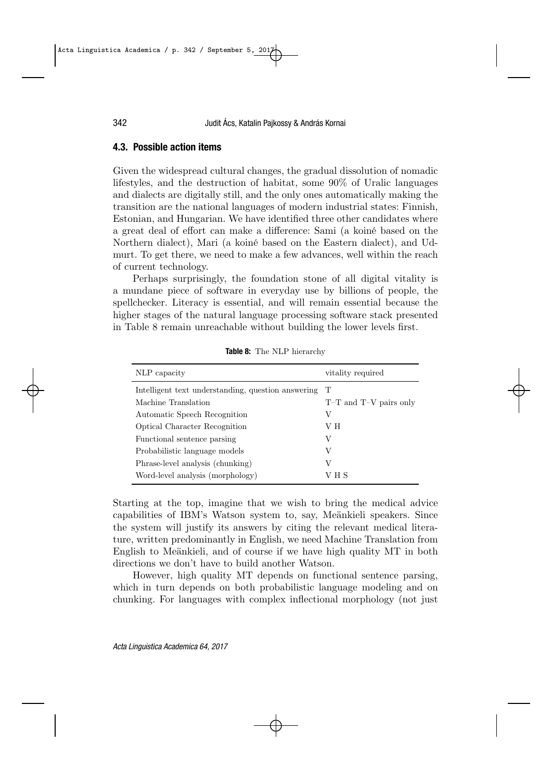# **4.3. Possible action items**

Given the widespread cultural changes, the gradual dissolution of nomadic lifestyles, and the destruction of habitat, some 90% of Uralic languages and dialects are digitally still, and the only ones automatically making the transition are the national languages of modern industrial states: Finnish, Estonian, and Hungarian. We have identified three other candidates where a great deal of effort can make a difference: Sami (a koiné based on the Northern dialect), Mari (a koiné based on the Eastern dialect), and Udmurt. To get there, we need to make a few advances, well within the reach of current technology.

Perhaps surprisingly, the foundation stone of all digital vitality is a mundane piece of software in everyday use by billions of people, the spellchecker. Literacy is essential, and will remain essential because the higher stages of the natural language processing software stack presented in Table 8 remain unreachable without building the lower levels first.

| NLP capacity                                       | vitality required          |  |
|----------------------------------------------------|----------------------------|--|
| Intelligent text understanding, question answering | T                          |  |
| Machine Translation                                | $T-T$ and $T-V$ pairs only |  |
| Automatic Speech Recognition                       | V                          |  |
| <b>Optical Character Recognition</b>               | VН                         |  |
| Functional sentence parsing                        | V                          |  |
| Probabilistic language models                      | V                          |  |
| Phrase-level analysis (chunking)                   | V                          |  |
| Word-level analysis (morphology)                   | VНS                        |  |

**Table 8:** The NLP hierarchy

Starting at the top, imagine that we wish to bring the medical advice capabilities of IBM's Watson system to, say, Meänkieli speakers. Since the system will justify its answers by citing the relevant medical literature, written predominantly in English, we need Machine Translation from English to Meänkieli, and of course if we have high quality MT in both directions we don't have to build another Watson.

However, high quality MT depends on functional sentence parsing, which in turn depends on both probabilistic language modeling and on chunking. For languages with complex inflectional morphology (not just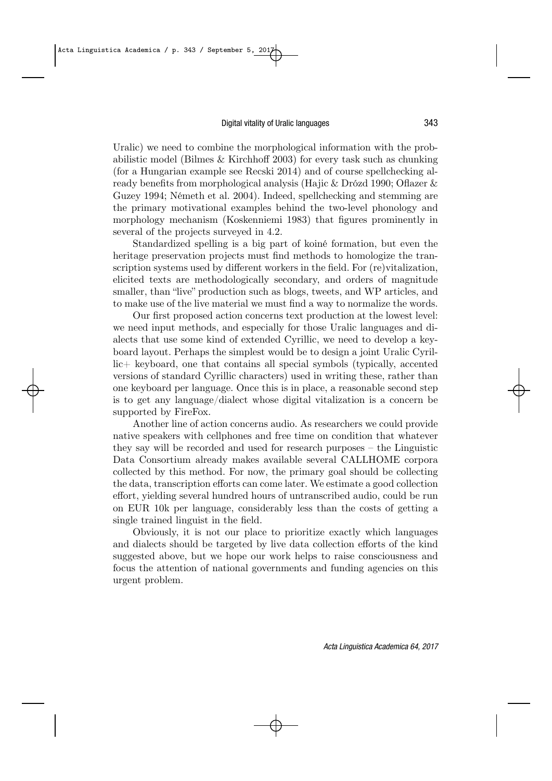Uralic) we need to combine the morphological information with the probabilistic model (Bilmes  $&$  Kirchhoff 2003) for every task such as chunking (for a Hungarian example see Recski 2014) and of course spellchecking already benefits from morphological analysis (Hajic & Drózd 1990; Oflazer & Guzey 1994; Németh et al. 2004). Indeed, spellchecking and stemming are the primary motivational examples behind the two-level phonology and morphology mechanism (Koskenniemi 1983) that figures prominently in several of the projects surveyed in 4.2.

Standardized spelling is a big part of koiné formation, but even the heritage preservation projects must find methods to homologize the transcription systems used by different workers in the field. For (re)vitalization, elicited texts are methodologically secondary, and orders of magnitude smaller, than "live" production such as blogs, tweets, and WP articles, and to make use of the live material we must find a way to normalize the words.

Our first proposed action concerns text production at the lowest level: we need input methods, and especially for those Uralic languages and dialects that use some kind of extended Cyrillic, we need to develop a keyboard layout. Perhaps the simplest would be to design a joint Uralic Cyrillic+ keyboard, one that contains all special symbols (typically, accented versions of standard Cyrillic characters) used in writing these, rather than one keyboard per language. Once this is in place, a reasonable second step is to get any language/dialect whose digital vitalization is a concern be supported by FireFox.

Another line of action concerns audio. As researchers we could provide native speakers with cellphones and free time on condition that whatever they say will be recorded and used for research purposes – the Linguistic Data Consortium already makes available several CALLHOME corpora collected by this method. For now, the primary goal should be collecting the data, transcription efforts can come later. We estimate a good collection effort, yielding several hundred hours of untranscribed audio, could be run on EUR 10k per language, considerably less than the costs of getting a single trained linguist in the field.

Obviously, it is not our place to prioritize exactly which languages and dialects should be targeted by live data collection efforts of the kind suggested above, but we hope our work helps to raise consciousness and focus the attention of national governments and funding agencies on this urgent problem.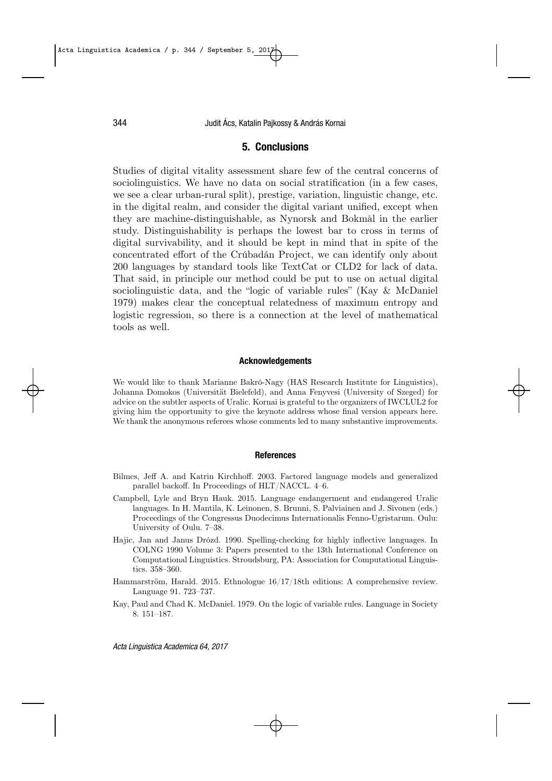### **5. Conclusions**

Studies of digital vitality assessment share few of the central concerns of sociolinguistics. We have no data on social stratification (in a few cases, we see a clear urban-rural split), prestige, variation, linguistic change, etc. in the digital realm, and consider the digital variant unified, except when they are machine-distinguishable, as Nynorsk and Bokmål in the earlier study. Distinguishability is perhaps the lowest bar to cross in terms of digital survivability, and it should be kept in mind that in spite of the concentrated effort of the Crúbadán Project, we can identify only about 200 languages by standard tools like TextCat or CLD2 for lack of data. That said, in principle our method could be put to use on actual digital sociolinguistic data, and the "logic of variable rules" (Kay & McDaniel 1979) makes clear the conceptual relatedness of maximum entropy and logistic regression, so there is a connection at the level of mathematical tools as well.

#### **Acknowledgements**

We would like to thank Marianne Bakró-Nagy (HAS Research Institute for Linguistics), Johanna Domokos (Universität Bielefeld), and Anna Fenyvesi (University of Szeged) for advice on the subtler aspects of Uralic. Kornai is grateful to the organizers of IWCLUL2 for giving him the opportunity to give the keynote address whose final version appears here. We thank the anonymous referees whose comments led to many substantive improvements.

#### **References**

- Bilmes, Jeff A. and Katrin Kirchhoff. 2003. Factored language models and generalized parallel backoff. In Proceedings of HLT/NACCL. 4–6.
- Campbell, Lyle and Bryn Hauk. 2015. Language endangerment and endangered Uralic languages. In H. Mantila, K. Leinonen, S. Brunni, S. Palviainen and J. Sivonen (eds.) Proceedings of the Congressus Duodecimus Internationalis Fenno-Ugristarum. Oulu: University of Oulu. 7–38.
- Hajic, Jan and Janus Drózd. 1990. Spelling-checking for highly inflective languages. In COLNG 1990 Volume 3: Papers presented to the 13th International Conference on Computational Linguistics. Stroudsburg, PA: Association for Computational Linguistics. 358–360.
- Hammarström, Harald. 2015. Ethnologue 16/17/18th editions: A comprehensive review. Language 91. 723–737.
- Kay, Paul and Chad K. McDaniel. 1979. On the logic of variable rules. Language in Society 8. 151–187.

*Acta Linguistica Academica 64, 2017*